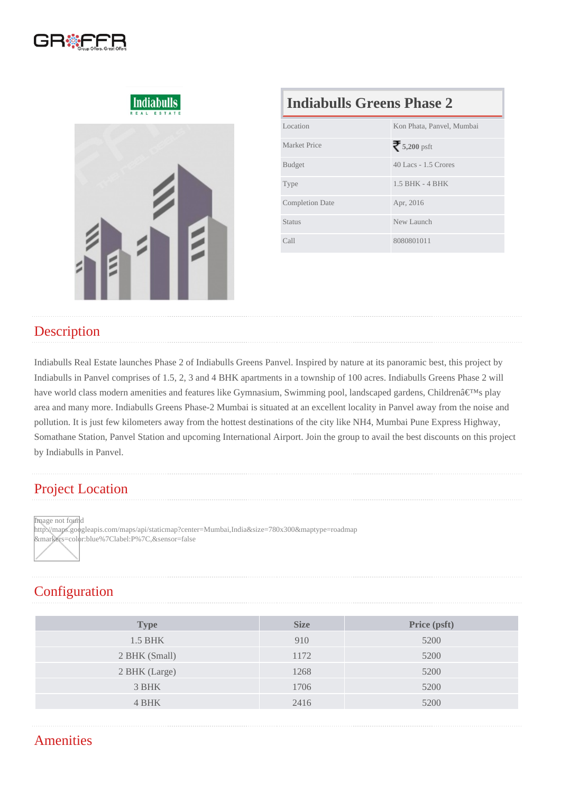## Indiabulls Greens Phase 2

| Location               | Kon Phata, Panvel, Mumbai |  |
|------------------------|---------------------------|--|
| Market Price           | 5,200psft                 |  |
| <b>Budget</b>          | 40 Lacs - 1.5 Crores      |  |
| <b>Type</b>            | 1.5 BHK - 4 BHK           |  |
| <b>Completion Date</b> | Apr, 2016                 |  |
| Status                 | New Launch                |  |
| Call                   | 8080801011                |  |

## **Description**

Indiabulls Real Estate launches Phase 2 of Indiabulls Greens Panvel. Inspired by nature at its panoramic best, this project by Indiabulls in Panvel comprises of 1.5, 2, 3 and 4 BHK apartments in a township of 100 acres. Indiabulls Greens Phase 2 will have world class modern amenities and features like Gymnasium, Swimming pool, landscaped gardens, Children's play area and many more. Indiabulls Greens Phase-2 Mumbai is situated at an excellent locality in Panvel away from the noise and pollution. It is just few kilometers away from the hottest destinations of the city like NH4, Mumbai Pune Express Highway, Somathane Station, Panvel Station and upcoming International Airport. Join the group to avail the best discounts on this project by Indiabulls in Panvel.

## Project Location

Image not found

http://maps.googleapis.com/maps/api/staticmap?center=Mumbai,India&size=780x300&maptype=roadmap &markers=color:blue%7Clabel:P%7C,&sensor=false

# **Configuration**

| Type           | <b>Size</b> | Price (psft) |
|----------------|-------------|--------------|
| <b>1.5 BHK</b> | 910         | 5200         |
| 2 BHK (Small)  | 1172        | 5200         |
| 2 BHK (Large)  | 1268        | 5200         |
| 3 BHK          | 1706        | 5200         |
| 4 BHK          | 2416        | 5200         |
|                |             |              |

## **Amenities**